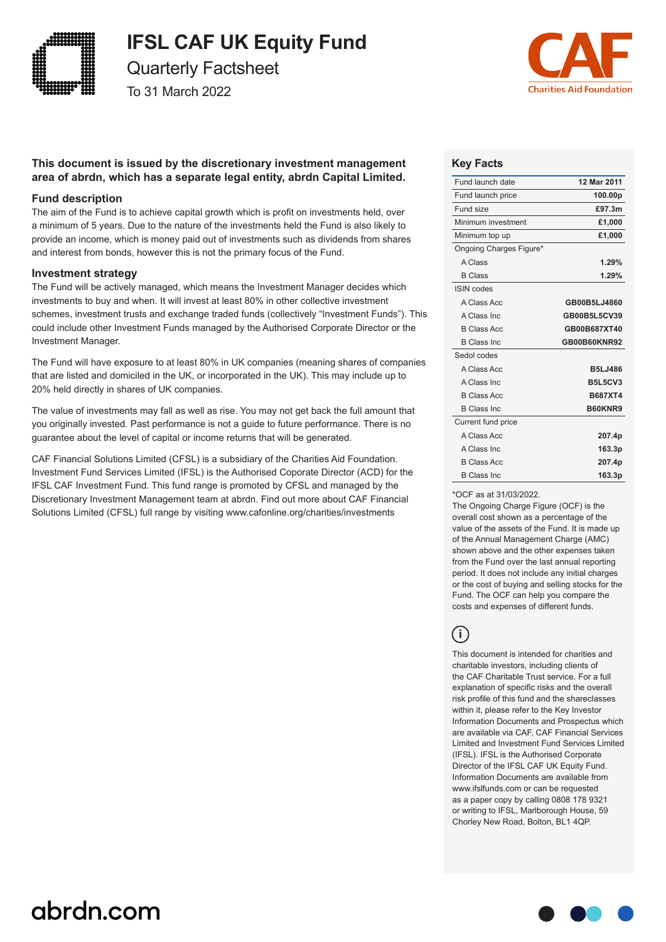

# **IFSL CAF UK Equity Fund**

Quarterly Factsheet

To 31 March 2022



# **This document is issued by the discretionary investment management area of abrdn, which has a separate legal entity, abrdn Capital Limited.**

## **Fund description**

The aim of the Fund is to achieve capital growth which is profit on investments held, over a minimum of 5 years. Due to the nature of the investments held the Fund is also likely to provide an income, which is money paid out of investments such as dividends from shares and interest from bonds, however this is not the primary focus of the Fund.

### **Investment strategy**

The Fund will be actively managed, which means the Investment Manager decides which investments to buy and when. It will invest at least 80% in other collective investment schemes, investment trusts and exchange traded funds (collectively "Investment Funds"). This could include other Investment Funds managed by the Authorised Corporate Director or the Investment Manager.

The Fund will have exposure to at least 80% in UK companies (meaning shares of companies that are listed and domiciled in the UK, or incorporated in the UK). This may include up to 20% held directly in shares of UK companies.

The value of investments may fall as well as rise. You may not get back the full amount that you originally invested. Past performance is not a guide to future performance. There is no guarantee about the level of capital or income returns that will be generated.

CAF Financial Solutions Limited (CFSL) is a subsidiary of the Charities Aid Foundation. Investment Fund Services Limited (IFSL) is the Authorised Coporate Director (ACD) for the IFSL CAF Investment Fund. This fund range is promoted by CFSL and managed by the Discretionary Investment Management team at abrdn. Find out more about CAF Financial Solutions Limited (CFSL) full range by visiting www.cafonline.org/charities/investments

# **Key Facts**

| Fund launch date        | 12 Mar 2011    |
|-------------------------|----------------|
| Fund launch price       | 100.00p        |
| Fund size               | £97.3m         |
| Minimum investment      | £1,000         |
| Minimum top up          | £1,000         |
| Ongoing Charges Figure* |                |
| A Class                 | 1.29%          |
| <b>B</b> Class          | 1.29%          |
| <b>ISIN</b> codes       |                |
| A Class Acc             | GB00B5LJ4860   |
| A Class Inc.            | GB00B5L5CV39   |
| <b>B Class Acc</b>      | GB00B687XT40   |
| <b>B Class Inc.</b>     | GB00B60KNR92   |
| Sedol codes             |                |
| A Class Acc             | <b>B5LJ486</b> |
| A Class Inc.            | <b>B5L5CV3</b> |
| <b>B Class Acc</b>      | <b>B687XT4</b> |
| <b>B Class Inc.</b>     | B60KNR9        |
| Current fund price      |                |
| A Class Acc             | 207.4p         |
| A Class Inc.            | 163.3p         |
| <b>B Class Acc</b>      | 207.4p         |
| <b>B Class Inc.</b>     | 163.3p         |

\*OCF as at 31/03/2022.

The Ongoing Charge Figure (OCF) is the overall cost shown as a percentage of the value of the assets of the Fund. It is made up of the Annual Management Charge (AMC) shown above and the other expenses taken from the Fund over the last annual reporting period. It does not include any initial charges or the cost of buying and selling stocks for the Fund. The OCF can help you compare the costs and expenses of different funds.

**i**

This document is intended for charities and charitable investors, including clients of the CAF Charitable Trust service. For a full explanation of specific risks and the overall risk profile of this fund and the shareclasses within it, please refer to the Key Investor Information Documents and Prospectus which are available via CAF, CAF Financial Services Limited and Investment Fund Services Limited (IFSL). IFSL is the Authorised Corporate Director of the IFSL CAF UK Equity Fund. Information Documents are available from www.ifslfunds.com or can be requested as a paper copy by calling 0808 178 9321 or writing to IFSL, Marlborough House, 59 Chorley New Road, Bolton, BL1 4QP.

# abrdn.com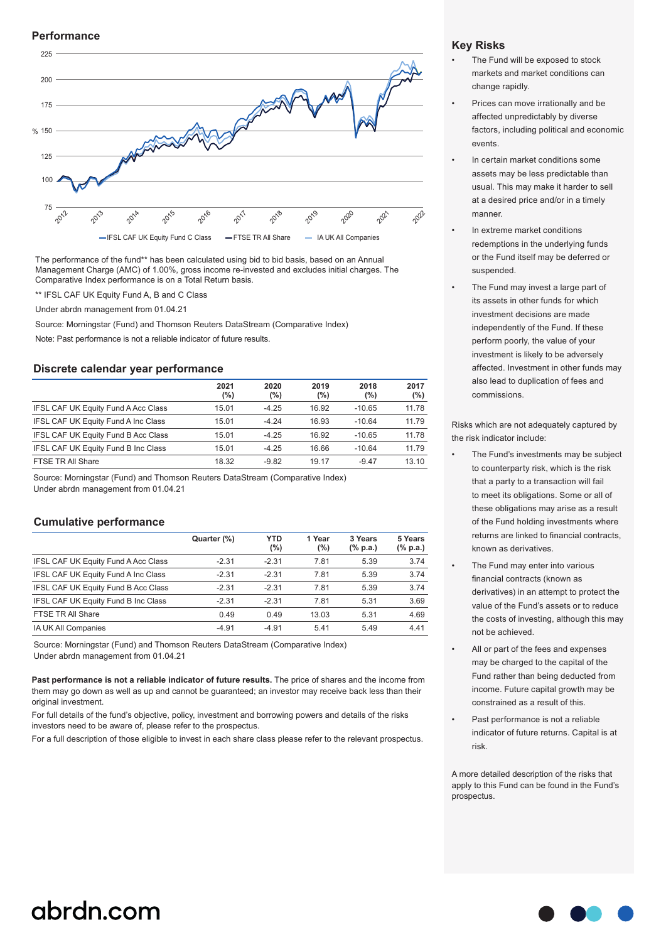#### **Performance**



The performance of the fund\*\* has been calculated using bid to bid basis, based on an Annual Management Charge (AMC) of 1.00%, gross income re-invested and excludes initial charges. The Comparative Index performance is on a Total Return basis.

\*\* IFSL CAF UK Equity Fund A, B and C Class

Under abrdn management from 01.04.21

Source: Morningstar (Fund) and Thomson Reuters DataStream (Comparative Index)

Note: Past performance is not a reliable indicator of future results.

#### **Discrete calendar year performance**

|                                            | 2021<br>(%) | 2020<br>(%) | 2019<br>(%) | 2018<br>(%) | 2017<br>(%) |
|--------------------------------------------|-------------|-------------|-------------|-------------|-------------|
| <b>IFSL CAF UK Equity Fund A Acc Class</b> | 15.01       | $-4.25$     | 16.92       | $-10.65$    | 11.78       |
| IFSL CAF UK Equity Fund A Inc Class        | 15.01       | $-424$      | 16.93       | $-10.64$    | 11.79       |
| IFSL CAF UK Equity Fund B Acc Class        | 15.01       | $-4.25$     | 16.92       | $-10.65$    | 11.78       |
| IFSL CAF UK Equity Fund B Inc Class        | 15.01       | $-4.25$     | 16.66       | $-10.64$    | 11.79       |
| FTSE TR All Share                          | 18.32       | $-9.82$     | 19.17       | $-9.47$     | 13.10       |

Source: Morningstar (Fund) and Thomson Reuters DataStream (Comparative Index) Under abrdn management from 01.04.21

#### **Cumulative performance**

|                                            | Quarter (%) | <b>YTD</b><br>(%) | 1 Year<br>$(\%)$ | 3 Years<br>$(\%$ p.a.) | 5 Years<br>$(% \mathbf{a})$ (% p.a.) |
|--------------------------------------------|-------------|-------------------|------------------|------------------------|--------------------------------------|
| <b>IFSL CAF UK Equity Fund A Acc Class</b> | $-2.31$     | $-2.31$           | 7.81             | 5.39                   | 3.74                                 |
| IFSL CAF UK Equity Fund A Inc Class        | $-2.31$     | $-2.31$           | 7.81             | 5.39                   | 3.74                                 |
| IFSL CAF UK Equity Fund B Acc Class        | $-2.31$     | $-2.31$           | 7.81             | 5.39                   | 3.74                                 |
| IFSL CAF UK Equity Fund B Inc Class        | $-2.31$     | $-2.31$           | 7.81             | 5.31                   | 3.69                                 |
| FTSE TR All Share                          | 0.49        | 0.49              | 13.03            | 5.31                   | 4.69                                 |
| IA UK All Companies                        | $-4.91$     | $-4.91$           | 5.41             | 5.49                   | 4.41                                 |

Source: Morningstar (Fund) and Thomson Reuters DataStream (Comparative Index) Under abrdn management from 01.04.21

**Past performance is not a reliable indicator of future results.** The price of shares and the income from them may go down as well as up and cannot be guaranteed; an investor may receive back less than their original investment.

For full details of the fund's objective, policy, investment and borrowing powers and details of the risks investors need to be aware of, please refer to the prospectus.

For a full description of those eligible to invest in each share class please refer to the relevant prospectus.

### **Key Risks**

- The Fund will be exposed to stock markets and market conditions can change rapidly.
- Prices can move irrationally and be affected unpredictably by diverse factors, including political and economic events.
- In certain market conditions some assets may be less predictable than usual. This may make it harder to sell at a desired price and/or in a timely manner.
- In extreme market conditions redemptions in the underlying funds or the Fund itself may be deferred or suspended.
- The Fund may invest a large part of its assets in other funds for which investment decisions are made independently of the Fund. If these perform poorly, the value of your investment is likely to be adversely affected. Investment in other funds may also lead to duplication of fees and commissions.

Risks which are not adequately captured by the risk indicator include:

- The Fund's investments may be subject to counterparty risk, which is the risk that a party to a transaction will fail to meet its obligations. Some or all of these obligations may arise as a result of the Fund holding investments where returns are linked to financial contracts, known as derivatives.
- The Fund may enter into various financial contracts (known as derivatives) in an attempt to protect the value of the Fund's assets or to reduce the costs of investing, although this may not be achieved.
- All or part of the fees and expenses may be charged to the capital of the Fund rather than being deducted from income. Future capital growth may be constrained as a result of this.
- Past performance is not a reliable indicator of future returns. Capital is at risk.

A more detailed description of the risks that apply to this Fund can be found in the Fund's prospectus.

# abrdn.com